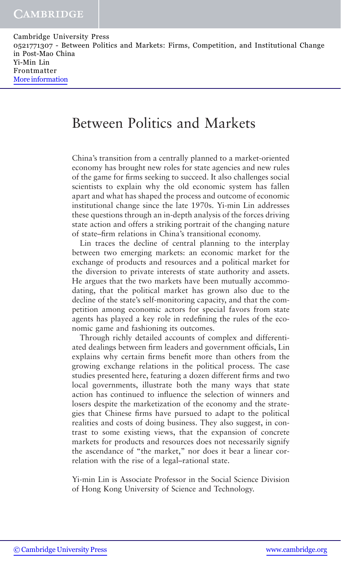# Between Politics and Markets

China's transition from a centrally planned to a market-oriented economy has brought new roles for state agencies and new rules of the game for firms seeking to succeed. It also challenges social scientists to explain why the old economic system has fallen apart and what has shaped the process and outcome of economic institutional change since the late 1970s. Yi-min Lin addresses these questions through an in-depth analysis of the forces driving state action and offers a striking portrait of the changing nature of state–firm relations in China's transitional economy.

Lin traces the decline of central planning to the interplay between two emerging markets: an economic market for the exchange of products and resources and a political market for the diversion to private interests of state authority and assets. He argues that the two markets have been mutually accommodating, that the political market has grown also due to the decline of the state's self-monitoring capacity, and that the competition among economic actors for special favors from state agents has played a key role in redefining the rules of the economic game and fashioning its outcomes.

Through richly detailed accounts of complex and differentiated dealings between firm leaders and government officials, Lin explains why certain firms benefit more than others from the growing exchange relations in the political process. The case studies presented here, featuring a dozen different firms and two local governments, illustrate both the many ways that state action has continued to influence the selection of winners and losers despite the marketization of the economy and the strategies that Chinese firms have pursued to adapt to the political realities and costs of doing business. They also suggest, in contrast to some existing views, that the expansion of concrete markets for products and resources does not necessarily signify the ascendance of "the market," nor does it bear a linear correlation with the rise of a legal–rational state.

Yi-min Lin is Associate Professor in the Social Science Division of Hong Kong University of Science and Technology.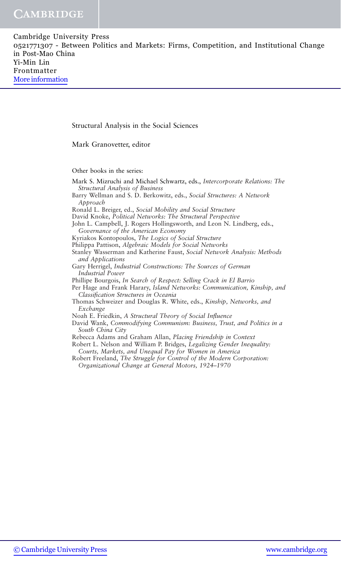| Cambridge University Press                                                              |  |
|-----------------------------------------------------------------------------------------|--|
| 0521771307 - Between Politics and Markets: Firms, Competition, and Institutional Change |  |
| in Post-Mao China                                                                       |  |
| Yi-Min Lin                                                                              |  |
| Frontmatter                                                                             |  |
| More information                                                                        |  |
|                                                                                         |  |

Structural Analysis in the Social Sciences

Mark Granovetter, editor

Other books in the series:

Mark S. Mizruchi and Michael Schwartz, eds., *Intercorporate Relations: The Structural Analysis of Business* Barry Wellman and S. D. Berkowitz, eds., *Social Structures: A Network Approach* Ronald L. Breiger, ed., *Social Mobility and Social Structure* David Knoke, *Political Networks: The Structural Perspective* John L. Campbell, J. Rogers Hollingsworth, and Leon N. Lindberg, eds., *Governance of the American Economy* Kyriakos Kontopoulos, *The Logics of Social Structure* Philippa Pattison, *Algebraic Models for Social Networks* Stanley Wasserman and Katherine Faust, *Social Network Analysis: Methods and Applications* Gary Herrigel, *Industrial Constructions: The Sources of German Industrial Power* Phillipe Bourgois, *In Search of Respect: Selling Crack in El Barrio* Per Hage and Frank Harary, *Island Networks: Communication, Kinship, and Classification Structures in Oceania* Thomas Schweizer and Douglas R. White, eds., *Kinship, Networks, and Exchange* Noah E. Friedkin, *A Structural Theory of Social Influence* David Wank, *Commodifying Communism: Business, Trust, and Politics in a South China City* Rebecca Adams and Graham Allan, *Placing Friendship in Context* Robert L. Nelson and William P. Bridges, *Legalizing Gender Inequality: Courts, Markets, and Unequal Pay for Women in America* Robert Freeland, *The Struggle for Control of the Modern Corporation: Organizational Change at General Motors, 1924–1970*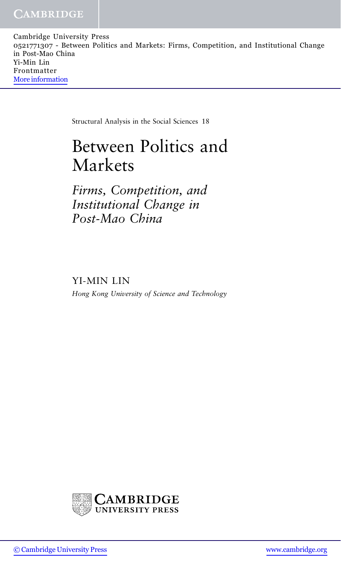Structural Analysis in the Social Sciences 18

# Between Politics and Markets

*Firms, Competition, and Institutional Change in Post-Mao China*

YI-MIN LIN *Hong Kong University of Science and Technology*

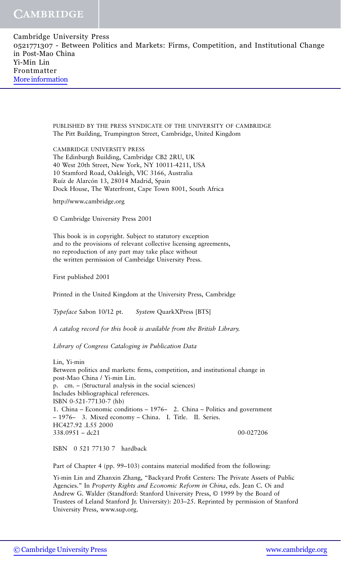> PUBLISHED BY THE PRESS SYNDICATE OF THE UNIVERSITY OF CAMBRIDGE The Pitt Building, Trumpington Street, Cambridge, United Kingdom

CAMBRIDGE UNIVERSITY PRESS The Edinburgh Building, Cambridge CB2 2RU, UK 40 West 20th Street, New York, NY 10011-4211, USA 10 Stamford Road, Oakleigh, VIC 3166, Australia Ruíz de Alarcón 13, 28014 Madrid, Spain Dock House, The Waterfront, Cape Town 8001, South Africa

http://www.cambridge.org

© Cambridge University Press 2001

This book is in copyright. Subject to statutory exception and to the provisions of relevant collective licensing agreements, no reproduction of any part may take place without the written permission of Cambridge University Press.

First published 2001

Printed in the United Kingdom at the University Press, Cambridge

*Typeface* Sabon 10/12 pt. *System* QuarkXPress [BTS]

*A catalog record for this book is available from the British Library.*

*Library of Congress Cataloging in Publication Data*

Lin, Yi-min Between politics and markets: firms, competition, and institutional change in post-Mao China / Yi-min Lin. p. cm. – (Structural analysis in the social sciences) Includes bibliographical references. ISBN 0-521-77130-7 (hb) 1. China – Economic conditions – 1976– 2. China – Politics and government – 1976– 3. Mixed economy – China. I. Title. II. Series. HC427.92 .L55 2000  $338.0951 - d c 21$  00-027206

ISBN 0 521 77130 7 hardback

Part of Chapter 4 (pp. 99–103) contains material modified from the following:

Yi-min Lin and Zhanxin Zhang, "Backyard Profit Centers: The Private Assets of Public Agencies." In *Property Rights and Economic Reform in China*, eds. Jean C. Oi and Andrew G. Walder (Standford: Stanford University Press, © 1999 by the Board of Trustees of Leland Stanford Jr. University): 203–25. Reprinted by permission of Stanford University Press, www.sup.org.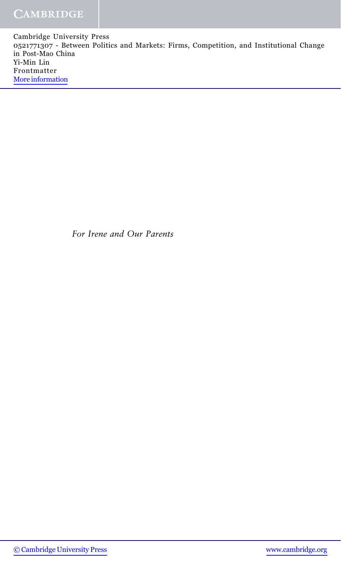*For Irene and Our Parents*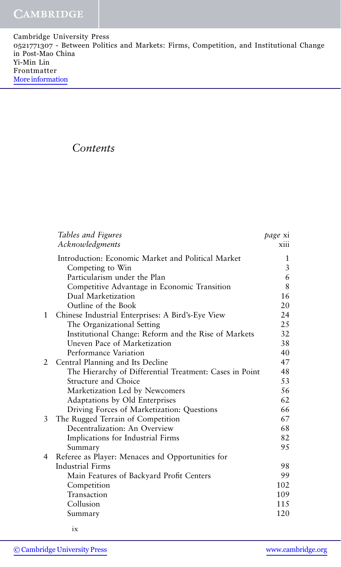### *Contents*

|   | Tables and Figures                                      | page xi |
|---|---------------------------------------------------------|---------|
|   | Acknowledgments                                         | xiii    |
|   | Introduction: Economic Market and Political Market      | 1       |
|   | Competing to Win                                        | 3       |
|   | Particularism under the Plan                            | 6       |
|   | Competitive Advantage in Economic Transition            | 8       |
|   | Dual Marketization                                      | 16      |
|   | Outline of the Book                                     | 20      |
| 1 | Chinese Industrial Enterprises: A Bird's-Eye View       | 24      |
|   | The Organizational Setting                              | 25      |
|   | Institutional Change: Reform and the Rise of Markets    | 32      |
|   | Uneven Pace of Marketization                            | 38      |
|   | Performance Variation                                   | 40      |
| 2 | Central Planning and Its Decline                        | 47      |
|   | The Hierarchy of Differential Treatment: Cases in Point | 48      |
|   | Structure and Choice                                    | 53      |
|   | Marketization Led by Newcomers                          | 56      |
|   | Adaptations by Old Enterprises                          | 62      |
|   | Driving Forces of Marketization: Questions              | 66      |
| 3 | The Rugged Terrain of Competition                       | 67      |
|   | Decentralization: An Overview                           | 68      |
|   | Implications for Industrial Firms                       | 82      |
|   | Summary                                                 | 95      |
| 4 | Referee as Player: Menaces and Opportunities for        |         |
|   | <b>Industrial Firms</b>                                 | 98      |
|   | Main Features of Backyard Profit Centers                | 99      |
|   | Competition                                             | 102     |
|   | Transaction                                             | 109     |
|   | Collusion                                               | 115     |
|   | Summary                                                 | 120     |
|   |                                                         |         |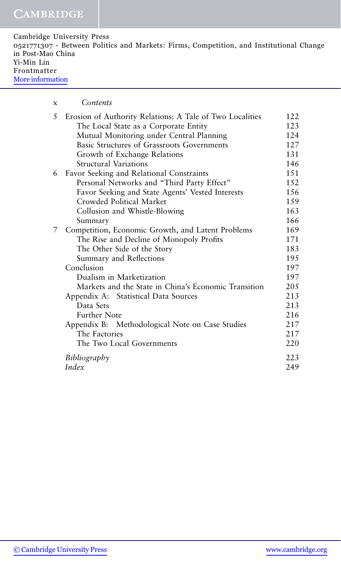#### CAMBRIDGE

| Cambridge University Press                                                              |  |
|-----------------------------------------------------------------------------------------|--|
| 0521771307 - Between Politics and Markets: Firms, Competition, and Institutional Change |  |
| in Post-Mao China                                                                       |  |
| Yi-Min Lin                                                                              |  |
| Frontmatter                                                                             |  |
| More information                                                                        |  |
|                                                                                         |  |

#### x *Contents*

| 5 | Erosion of Authority Relations: A Tale of Two Localities | 122  |
|---|----------------------------------------------------------|------|
|   | The Local State as a Corporate Entity                    | 123  |
|   | Mutual Monitoring under Central Planning                 | 124  |
|   | Basic Structures of Grassroots Governments               | 127  |
|   | Growth of Exchange Relations                             | 131  |
|   | <b>Structural Variations</b>                             | 146  |
| 6 | Favor Seeking and Relational Constraints                 | 151  |
|   | Personal Networks and "Third Party Effect"               | 152  |
|   | Favor Seeking and State Agents' Vested Interests         | 1.56 |
|   | Crowded Political Market                                 | 159  |
|   | Collusion and Whistle-Blowing                            | 163  |
|   | Summary                                                  | 166  |
| 7 | Competition, Economic Growth, and Latent Problems        | 169  |
|   | The Rise and Decline of Monopoly Profits                 | 171  |
|   | The Other Side of the Story                              | 183  |
|   | Summary and Reflections                                  | 195  |
|   | Conclusion                                               | 197  |
|   | Dualism in Marketization                                 | 197  |
|   | Markets and the State in China's Economic Transition     | 205  |
|   | Appendix A: Statistical Data Sources                     | 213  |
|   | Data Sets                                                | 213  |
|   | Further Note                                             | 216  |
|   | Appendix B: Methodological Note on Case Studies          | 217  |
|   | The Factories                                            | 217  |
|   | The Two Local Governments                                | 220  |
|   | Bibliography                                             | 223  |
|   | Index                                                    | 249  |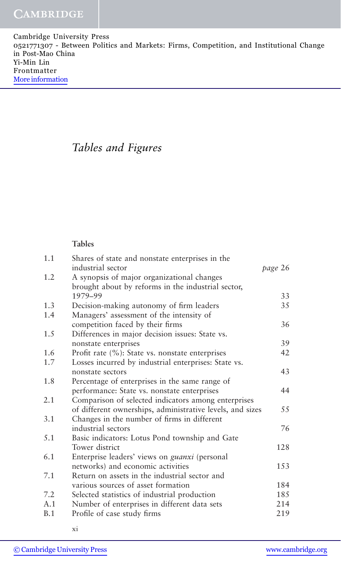## *Tables and Figures*

#### **Tables**

| Shares of state and nonstate enterprises in the<br>industrial sector | page 26                                                                                                                                                                                                                                                                                                                                                                                                                                                                                                                                                                                                                                                    |
|----------------------------------------------------------------------|------------------------------------------------------------------------------------------------------------------------------------------------------------------------------------------------------------------------------------------------------------------------------------------------------------------------------------------------------------------------------------------------------------------------------------------------------------------------------------------------------------------------------------------------------------------------------------------------------------------------------------------------------------|
|                                                                      |                                                                                                                                                                                                                                                                                                                                                                                                                                                                                                                                                                                                                                                            |
|                                                                      |                                                                                                                                                                                                                                                                                                                                                                                                                                                                                                                                                                                                                                                            |
| 1979-99                                                              | 33                                                                                                                                                                                                                                                                                                                                                                                                                                                                                                                                                                                                                                                         |
| Decision-making autonomy of firm leaders                             | 35                                                                                                                                                                                                                                                                                                                                                                                                                                                                                                                                                                                                                                                         |
| Managers' assessment of the intensity of                             |                                                                                                                                                                                                                                                                                                                                                                                                                                                                                                                                                                                                                                                            |
| competition faced by their firms                                     | 36                                                                                                                                                                                                                                                                                                                                                                                                                                                                                                                                                                                                                                                         |
| Differences in major decision issues: State vs.                      |                                                                                                                                                                                                                                                                                                                                                                                                                                                                                                                                                                                                                                                            |
| nonstate enterprises                                                 | 39                                                                                                                                                                                                                                                                                                                                                                                                                                                                                                                                                                                                                                                         |
| Profit rate (%): State vs. nonstate enterprises                      | 42                                                                                                                                                                                                                                                                                                                                                                                                                                                                                                                                                                                                                                                         |
| Losses incurred by industrial enterprises: State vs.                 |                                                                                                                                                                                                                                                                                                                                                                                                                                                                                                                                                                                                                                                            |
| nonstate sectors                                                     | 43                                                                                                                                                                                                                                                                                                                                                                                                                                                                                                                                                                                                                                                         |
| Percentage of enterprises in the same range of                       |                                                                                                                                                                                                                                                                                                                                                                                                                                                                                                                                                                                                                                                            |
| performance: State vs. nonstate enterprises                          | 44                                                                                                                                                                                                                                                                                                                                                                                                                                                                                                                                                                                                                                                         |
|                                                                      |                                                                                                                                                                                                                                                                                                                                                                                                                                                                                                                                                                                                                                                            |
|                                                                      | 55                                                                                                                                                                                                                                                                                                                                                                                                                                                                                                                                                                                                                                                         |
|                                                                      |                                                                                                                                                                                                                                                                                                                                                                                                                                                                                                                                                                                                                                                            |
| industrial sectors                                                   | 76                                                                                                                                                                                                                                                                                                                                                                                                                                                                                                                                                                                                                                                         |
|                                                                      |                                                                                                                                                                                                                                                                                                                                                                                                                                                                                                                                                                                                                                                            |
|                                                                      | 128                                                                                                                                                                                                                                                                                                                                                                                                                                                                                                                                                                                                                                                        |
|                                                                      |                                                                                                                                                                                                                                                                                                                                                                                                                                                                                                                                                                                                                                                            |
|                                                                      | 153                                                                                                                                                                                                                                                                                                                                                                                                                                                                                                                                                                                                                                                        |
|                                                                      |                                                                                                                                                                                                                                                                                                                                                                                                                                                                                                                                                                                                                                                            |
|                                                                      | 184                                                                                                                                                                                                                                                                                                                                                                                                                                                                                                                                                                                                                                                        |
|                                                                      | 185                                                                                                                                                                                                                                                                                                                                                                                                                                                                                                                                                                                                                                                        |
|                                                                      | 214                                                                                                                                                                                                                                                                                                                                                                                                                                                                                                                                                                                                                                                        |
|                                                                      | 219                                                                                                                                                                                                                                                                                                                                                                                                                                                                                                                                                                                                                                                        |
|                                                                      | A synopsis of major organizational changes<br>brought about by reforms in the industrial sector,<br>Comparison of selected indicators among enterprises<br>of different ownerships, administrative levels, and sizes<br>Changes in the number of firms in different<br>Basic indicators: Lotus Pond township and Gate<br>Tower district<br>Enterprise leaders' views on <i>guanxi</i> (personal<br>networks) and economic activities<br>Return on assets in the industrial sector and<br>various sources of asset formation<br>Selected statistics of industrial production<br>Number of enterprises in different data sets<br>Profile of case study firms |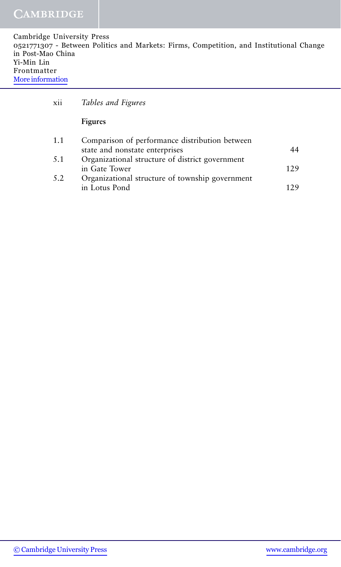| Cambridge University Press                                                              |  |
|-----------------------------------------------------------------------------------------|--|
| 0521771307 - Between Politics and Markets: Firms, Competition, and Institutional Change |  |
| in Post-Mao China                                                                       |  |
| Yi-Min Lin                                                                              |  |
| Frontmatter                                                                             |  |
| More information                                                                        |  |
|                                                                                         |  |

| xii | Tables and Figures                              |     |
|-----|-------------------------------------------------|-----|
|     | <b>Figures</b>                                  |     |
| 1.1 | Comparison of performance distribution between  |     |
|     | state and nonstate enterprises                  | 44  |
| 5.1 | Organizational structure of district government |     |
|     | in Gate Tower                                   | 129 |
| 5.2 | Organizational structure of township government |     |
|     | in Lotus Pond                                   |     |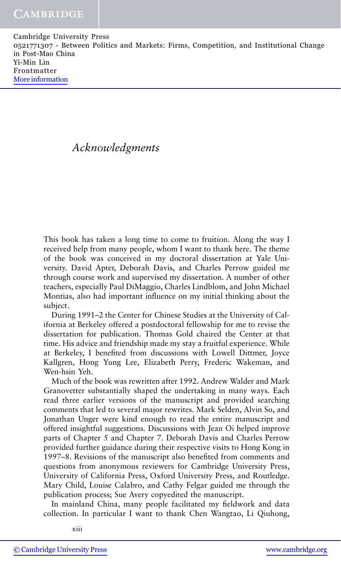### *Acknowledgments*

This book has taken a long time to come to fruition. Along the way I received help from many people, whom I want to thank here. The theme of the book was conceived in my doctoral dissertation at Yale University. David Apter, Deborah Davis, and Charles Perrow guided me through course work and supervised my dissertation. A number of other teachers, especially Paul DiMaggio, Charles Lindblom, and John Michael Montias, also had important influence on my initial thinking about the subject.

During 1991–2 the Center for Chinese Studies at the University of California at Berkeley offered a postdoctoral fellowship for me to revise the dissertation for publication. Thomas Gold chaired the Center at that time. His advice and friendship made my stay a fruitful experience. While at Berkeley, I benefited from discussions with Lowell Dittmer, Joyce Kallgren, Hong Yung Lee, Elizabeth Perry, Frederic Wakeman, and Wen-hsin Yeh.

Much of the book was rewritten after 1992. Andrew Walder and Mark Granovetter substantially shaped the undertaking in many ways. Each read three earlier versions of the manuscript and provided searching comments that led to several major rewrites. Mark Selden, Alvin So, and Jonathan Unger were kind enough to read the entire manuscript and offered insightful suggestions. Discussions with Jean Oi helped improve parts of Chapter 5 and Chapter 7. Deborah Davis and Charles Perrow provided further guidance during their respective visits to Hong Kong in 1997–8. Revisions of the manuscript also benefited from comments and questions from anonymous reviewers for Cambridge University Press, University of California Press, Oxford University Press, and Routledge. Mary Child, Louise Calabro, and Cathy Felgar guided me through the publication process; Sue Avery copyedited the manuscript.

In mainland China, many people facilitated my fieldwork and data collection. In particular I want to thank Chen Wangtao, Li Qiuhong,